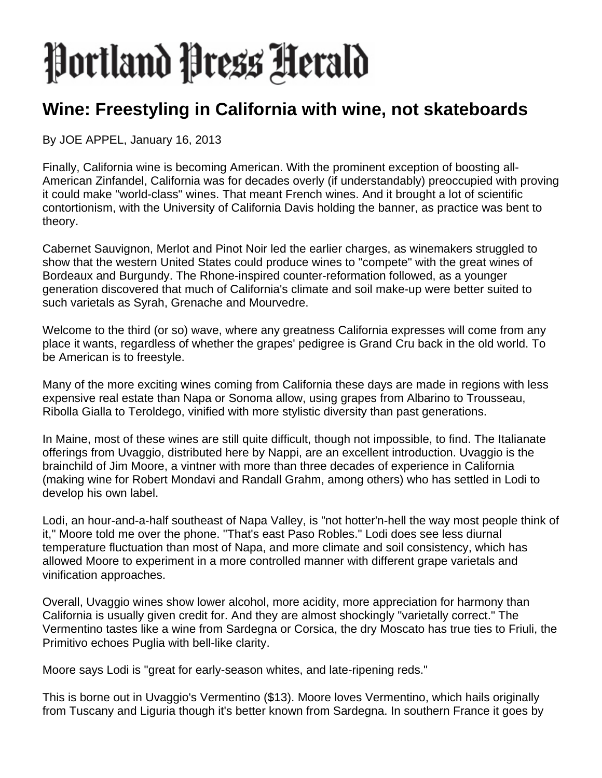## Portland Press Herald

## **Wine: Freestyling in California with wine, not skateboards**

By JOE APPEL, January 16, 2013

Finally, California wine is becoming American. With the prominent exception of boosting all-American Zinfandel, California was for decades overly (if understandably) preoccupied with proving it could make "world-class" wines. That meant French wines. And it brought a lot of scientific contortionism, with the University of California Davis holding the banner, as practice was bent to theory.

Cabernet Sauvignon, Merlot and Pinot Noir led the earlier charges, as winemakers struggled to show that the western United States could produce wines to "compete" with the great wines of Bordeaux and Burgundy. The Rhone-inspired counter-reformation followed, as a younger generation discovered that much of California's climate and soil make-up were better suited to such varietals as Syrah, Grenache and Mourvedre.

Welcome to the third (or so) wave, where any greatness California expresses will come from any place it wants, regardless of whether the grapes' pedigree is Grand Cru back in the old world. To be American is to freestyle.

Many of the more exciting wines coming from California these days are made in regions with less expensive real estate than Napa or Sonoma allow, using grapes from Albarino to Trousseau, Ribolla Gialla to Teroldego, vinified with more stylistic diversity than past generations.

In Maine, most of these wines are still quite difficult, though not impossible, to find. The Italianate offerings from Uvaggio, distributed here by Nappi, are an excellent introduction. Uvaggio is the brainchild of Jim Moore, a vintner with more than three decades of experience in California (making wine for Robert Mondavi and Randall Grahm, among others) who has settled in Lodi to develop his own label.

Lodi, an hour-and-a-half southeast of Napa Valley, is "not hotter'n-hell the way most people think of it," Moore told me over the phone. "That's east Paso Robles." Lodi does see less diurnal temperature fluctuation than most of Napa, and more climate and soil consistency, which has allowed Moore to experiment in a more controlled manner with different grape varietals and vinification approaches.

Overall, Uvaggio wines show lower alcohol, more acidity, more appreciation for harmony than California is usually given credit for. And they are almost shockingly "varietally correct." The Vermentino tastes like a wine from Sardegna or Corsica, the dry Moscato has true ties to Friuli, the Primitivo echoes Puglia with bell-like clarity.

Moore says Lodi is "great for early-season whites, and late-ripening reds."

This is borne out in Uvaggio's Vermentino (\$13). Moore loves Vermentino, which hails originally from Tuscany and Liguria though it's better known from Sardegna. In southern France it goes by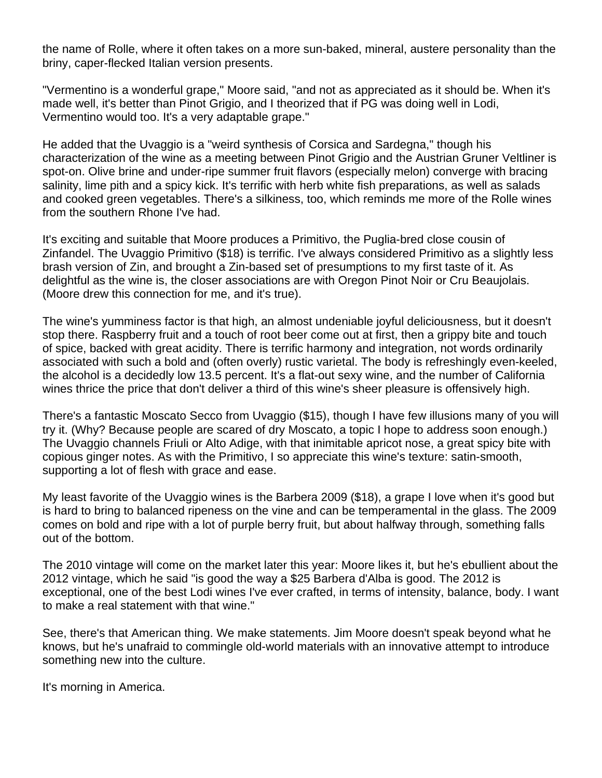the name of Rolle, where it often takes on a more sun-baked, mineral, austere personality than the briny, caper-flecked Italian version presents.

"Vermentino is a wonderful grape," Moore said, "and not as appreciated as it should be. When it's made well, it's better than Pinot Grigio, and I theorized that if PG was doing well in Lodi, Vermentino would too. It's a very adaptable grape."

He added that the Uvaggio is a "weird synthesis of Corsica and Sardegna," though his characterization of the wine as a meeting between Pinot Grigio and the Austrian Gruner Veltliner is spot-on. Olive brine and under-ripe summer fruit flavors (especially melon) converge with bracing salinity, lime pith and a spicy kick. It's terrific with herb white fish preparations, as well as salads and cooked green vegetables. There's a silkiness, too, which reminds me more of the Rolle wines from the southern Rhone I've had.

It's exciting and suitable that Moore produces a Primitivo, the Puglia-bred close cousin of Zinfandel. The Uvaggio Primitivo (\$18) is terrific. I've always considered Primitivo as a slightly less brash version of Zin, and brought a Zin-based set of presumptions to my first taste of it. As delightful as the wine is, the closer associations are with Oregon Pinot Noir or Cru Beaujolais. (Moore drew this connection for me, and it's true).

The wine's yumminess factor is that high, an almost undeniable joyful deliciousness, but it doesn't stop there. Raspberry fruit and a touch of root beer come out at first, then a grippy bite and touch of spice, backed with great acidity. There is terrific harmony and integration, not words ordinarily associated with such a bold and (often overly) rustic varietal. The body is refreshingly even-keeled, the alcohol is a decidedly low 13.5 percent. It's a flat-out sexy wine, and the number of California wines thrice the price that don't deliver a third of this wine's sheer pleasure is offensively high.

There's a fantastic Moscato Secco from Uvaggio (\$15), though I have few illusions many of you will try it. (Why? Because people are scared of dry Moscato, a topic I hope to address soon enough.) The Uvaggio channels Friuli or Alto Adige, with that inimitable apricot nose, a great spicy bite with copious ginger notes. As with the Primitivo, I so appreciate this wine's texture: satin-smooth, supporting a lot of flesh with grace and ease.

My least favorite of the Uvaggio wines is the Barbera 2009 (\$18), a grape I love when it's good but is hard to bring to balanced ripeness on the vine and can be temperamental in the glass. The 2009 comes on bold and ripe with a lot of purple berry fruit, but about halfway through, something falls out of the bottom.

The 2010 vintage will come on the market later this year: Moore likes it, but he's ebullient about the 2012 vintage, which he said "is good the way a \$25 Barbera d'Alba is good. The 2012 is exceptional, one of the best Lodi wines I've ever crafted, in terms of intensity, balance, body. I want to make a real statement with that wine."

See, there's that American thing. We make statements. Jim Moore doesn't speak beyond what he knows, but he's unafraid to commingle old-world materials with an innovative attempt to introduce something new into the culture.

It's morning in America.